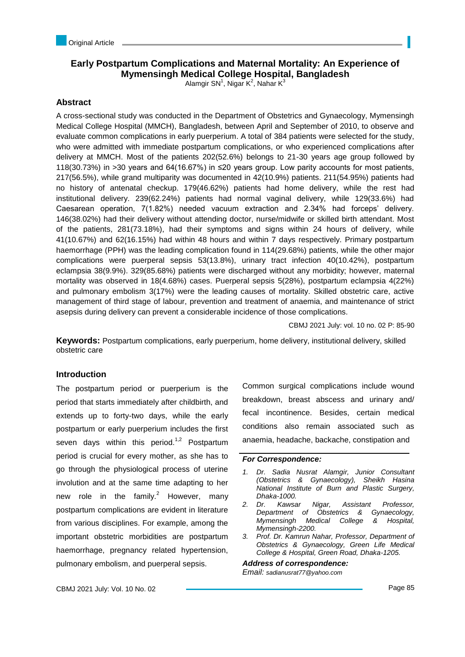# **Early Postpartum Complications and Maternal Mortality: An Experience of Mymensingh Medical College Hospital, Bangladesh**

Alamgir SN<sup>1</sup>, Nigar K<sup>2</sup>, Nahar K<sup>3</sup>

## **Abstract**

A cross-sectional study was conducted in the Department of Obstetrics and Gynaecology, Mymensingh Medical College Hospital (MMCH), Bangladesh, between April and September of 2010, to observe and evaluate common complications in early puerperium. A total of 384 patients were selected for the study, who were admitted with immediate postpartum complications, or who experienced complications after delivery at MMCH. Most of the patients 202(52.6%) belongs to 21-30 years age group followed by 118(30.73%) in >30 years and 64(16.67%) in ≤20 years group. Low parity accounts for most patients, 217(56.5%), while grand multiparity was documented in 42(10.9%) patients. 211(54.95%) patients had no history of antenatal checkup. 179(46.62%) patients had home delivery, while the rest had institutional delivery. 239(62.24%) patients had normal vaginal delivery, while 129(33.6%) had Caesarean operation, 7(1.82%) needed vacuum extraction and 2.34% had forceps' delivery. 146(38.02%) had their delivery without attending doctor, nurse/midwife or skilled birth attendant. Most of the patients, 281(73.18%), had their symptoms and signs within 24 hours of delivery, while 41(10.67%) and 62(16.15%) had within 48 hours and within 7 days respectively. Primary postpartum haemorrhage (PPH) was the leading complication found in 114(29.68%) patients, while the other major complications were puerperal sepsis 53(13.8%), urinary tract infection 40(10.42%), postpartum eclampsia 38(9.9%). 329(85.68%) patients were discharged without any morbidity; however, maternal mortality was observed in 18(4.68%) cases. Puerperal sepsis 5(28%), postpartum eclampsia 4(22%) and pulmonary embolism 3(17%) were the leading causes of mortality. Skilled obstetric care, active management of third stage of labour, prevention and treatment of anaemia, and maintenance of strict asepsis during delivery can prevent a considerable incidence of those complications.

CBMJ 2021 July: vol. 10 no. 02 P: 85-90

**Keywords:** Postpartum complications, early puerperium, home delivery, institutional delivery, skilled obstetric care

### **Introduction**

The postpartum period or puerperium is the period that starts immediately after childbirth, and extends up to forty-two days, while the early postpartum or early puerperium includes the first seven days within this period.<sup>1,2</sup> Postpartum period is crucial for every mother, as she has to go through the physiological process of uterine involution and at the same time adapting to her new role in the family.<sup>2</sup> However, many postpartum complications are evident in literature from various disciplines. For example, among the important obstetric morbidities are postpartum haemorrhage, pregnancy related hypertension, pulmonary embolism, and puerperal sepsis.

Common surgical complications include wound breakdown, breast abscess and urinary and/ fecal incontinence. Besides, certain medical conditions also remain associated such as anaemia, headache, backache, constipation and

### *For Correspondence:*

- *1. Dr. Sadia Nusrat Alamgir, Junior Consultant (Obstetrics & Gynaecology), Sheikh Hasina National Institute of Burn and Plastic Surgery, Dhaka-1000.*
- *2. Dr. Kawsar Nigar, Assistant Professor, Department of Obstetrics & Gynaecology, Mymensingh Medical College & Hospital, Mymensingh-2200.*
- *3. Prof. Dr. Kamrun Nahar, Professor, Department of Obstetrics & Gynaecology, Green Life Medical College & Hospital, Green Road, Dhaka-1205.*

*Address of correspondence:* 

*Email: sadianusrat77@yahoo.com*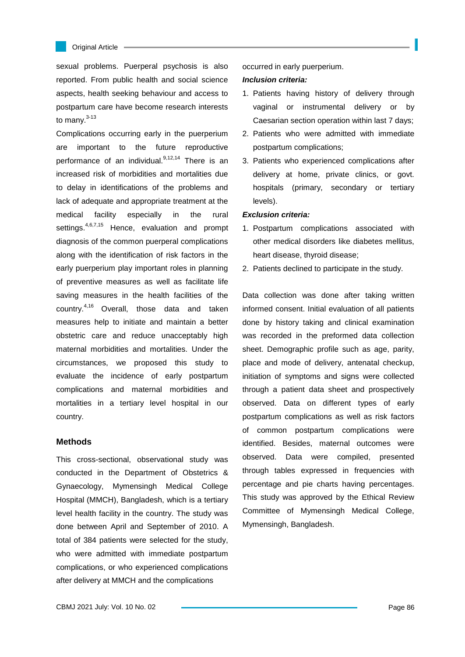

sexual problems. Puerperal psychosis is also reported. From public health and social science aspects, health seeking behaviour and access to postpartum care have become research interests to many. $3-13$ 

Complications occurring early in the puerperium are important to the future reproductive performance of an individual. $9,12,14$  There is an increased risk of morbidities and mortalities due to delay in identifications of the problems and lack of adequate and appropriate treatment at the medical facility especially in the rural settings.<sup>4,6,7,15</sup> Hence, evaluation and prompt diagnosis of the common puerperal complications along with the identification of risk factors in the early puerperium play important roles in planning of preventive measures as well as facilitate life saving measures in the health facilities of the country.4,16 Overall, those data and taken measures help to initiate and maintain a better obstetric care and reduce unacceptably high maternal morbidities and mortalities. Under the circumstances, we proposed this study to evaluate the incidence of early postpartum complications and maternal morbidities and mortalities in a tertiary level hospital in our country.

### **Methods**

This cross-sectional, observational study was conducted in the Department of Obstetrics & Gynaecology, Mymensingh Medical College Hospital (MMCH), Bangladesh, which is a tertiary level health facility in the country. The study was done between April and September of 2010. A total of 384 patients were selected for the study, who were admitted with immediate postpartum complications, or who experienced complications after delivery at MMCH and the complications

occurred in early puerperium.

#### *Inclusion criteria:*

- 1. Patients having history of delivery through vaginal or instrumental delivery or by Caesarian section operation within last 7 days;
- 2. Patients who were admitted with immediate postpartum complications;
- 3. Patients who experienced complications after delivery at home, private clinics, or govt. hospitals (primary, secondary or tertiary levels).

#### *Exclusion criteria:*

- 1. Postpartum complications associated with other medical disorders like diabetes mellitus, heart disease, thyroid disease;
- 2. Patients declined to participate in the study.

Data collection was done after taking written informed consent. Initial evaluation of all patients done by history taking and clinical examination was recorded in the preformed data collection sheet. Demographic profile such as age, parity, place and mode of delivery, antenatal checkup, initiation of symptoms and signs were collected through a patient data sheet and prospectively observed. Data on different types of early postpartum complications as well as risk factors of common postpartum complications were identified. Besides, maternal outcomes were observed. Data were compiled, presented through tables expressed in frequencies with percentage and pie charts having percentages. This study was approved by the Ethical Review Committee of Mymensingh Medical College, Mymensingh, Bangladesh.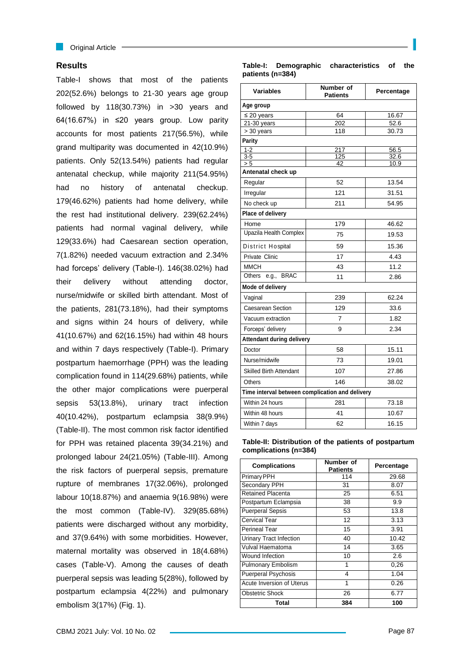## **Results**

Table-I shows that most of the patients 202(52.6%) belongs to 21-30 years age group followed by 118(30.73%) in >30 years and 64(16.67%) in ≤20 years group. Low parity accounts for most patients 217(56.5%), while grand multiparity was documented in 42(10.9%) patients. Only 52(13.54%) patients had regular antenatal checkup, while majority 211(54.95%) had no history of antenatal checkup. 179(46.62%) patients had home delivery, while the rest had institutional delivery. 239(62.24%) patients had normal vaginal delivery, while 129(33.6%) had Caesarean section operation, 7(1.82%) needed vacuum extraction and 2.34% had forceps' delivery (Table-I). 146(38.02%) had their delivery without attending doctor, nurse/midwife or skilled birth attendant. Most of the patients, 281(73.18%), had their symptoms and signs within 24 hours of delivery, while 41(10.67%) and 62(16.15%) had within 48 hours and within 7 days respectively (Table-I). Primary postpartum haemorrhage (PPH) was the leading complication found in 114(29.68%) patients, while the other major complications were puerperal sepsis 53(13.8%), urinary tract infection 40(10.42%), postpartum eclampsia 38(9.9%) (Table-II). The most common risk factor identified for PPH was retained placenta 39(34.21%) and prolonged labour 24(21.05%) (Table-III). Among the risk factors of puerperal sepsis, premature rupture of membranes 17(32.06%), prolonged labour 10(18.87%) and anaemia 9(16.98%) were the most common (Table-IV). 329(85.68%) patients were discharged without any morbidity, and 37(9.64%) with some morbidities. However, maternal mortality was observed in 18(4.68%) cases (Table-V). Among the causes of death puerperal sepsis was leading 5(28%), followed by postpartum eclampsia 4(22%) and pulmonary embolism 3(17%) (Fig. 1).

**Table-I: Demographic characteristics of the patients (n=384)**

| <b>Variables</b>                                | Number of<br><b>Patients</b> | Percentage |  |  |  |
|-------------------------------------------------|------------------------------|------------|--|--|--|
| Age group                                       |                              |            |  |  |  |
| $\leq 20$ years                                 | 64                           | 16.67      |  |  |  |
| $21-30$ years                                   | 202                          | 52.6       |  |  |  |
| > 30 years                                      | 118                          | 30.73      |  |  |  |
| <b>Parity</b>                                   |                              |            |  |  |  |
| $1 - 2$                                         | 217                          | 56.5       |  |  |  |
| $3-5$                                           | 125                          | 32.6       |  |  |  |
| > 5<br>42<br>10.9<br>Antenatal check up         |                              |            |  |  |  |
| Regular                                         | 52                           | 13.54      |  |  |  |
| Irregular                                       | 121                          | 31.51      |  |  |  |
| No check up                                     | 211                          | 54.95      |  |  |  |
| Place of delivery                               |                              |            |  |  |  |
| Home                                            | 179                          | 46.62      |  |  |  |
| Upazila Health Complex                          | 75                           | 19.53      |  |  |  |
| District Hospital                               | 59                           | 15.36      |  |  |  |
| Private Clinic                                  | 17                           | 4.43       |  |  |  |
| <b>MMCH</b>                                     | 43                           | 11.2       |  |  |  |
| <b>BRAC</b><br>Others<br>e.g.,                  | 11                           | 2.86       |  |  |  |
| Mode of delivery                                |                              |            |  |  |  |
| Vaginal                                         | 239                          | 62.24      |  |  |  |
| <b>Caesarean Section</b>                        | 129                          | 33.6       |  |  |  |
| Vacuum extraction                               | 7                            | 1.82       |  |  |  |
| Forceps' delivery                               | 9                            | 2.34       |  |  |  |
| <b>Attendant during delivery</b>                |                              |            |  |  |  |
| Doctor                                          | 58                           | 15.11      |  |  |  |
| Nurse/midwife                                   | 73                           | 19.01      |  |  |  |
| <b>Skilled Birth Attendant</b>                  | 107                          | 27.86      |  |  |  |
| Others                                          | 146                          | 38.02      |  |  |  |
| Time interval between complication and delivery |                              |            |  |  |  |
| Within 24 hours                                 | 281                          | 73.18      |  |  |  |
| Within 48 hours                                 | 41                           | 10.67      |  |  |  |
| Within 7 days                                   | 62                           | 16.15      |  |  |  |

**Table-II: Distribution of the patients of postpartum complications (n=384)**

| <b>Complications</b>           | Number of<br><b>Patients</b> | Percentage |
|--------------------------------|------------------------------|------------|
| Primary PPH                    | 114                          | 29.68      |
| Secondary PPH                  | 31                           | 8.07       |
| <b>Retained Placenta</b>       | 25                           | 6.51       |
| Postpartum Eclampsia           | 38                           | 9.9        |
| <b>Puerperal Sepsis</b>        | 53                           | 13.8       |
| <b>Cervical Tear</b>           | 12                           | 3.13       |
| <b>Perineal Tear</b>           | 15                           | 3.91       |
| <b>Urinary Tract Infection</b> | 40                           | 10.42      |
| Vulval Haematoma               | 14                           | 3.65       |
| Wound Infection                | 10                           | 2.6        |
| <b>Pulmonary Embolism</b>      | 1                            | 0,26       |
| <b>Puerperal Psychosis</b>     | 4                            | 1.04       |
| Acute Inversion of Uterus      | 1                            | 0.26       |
| <b>Obstetric Shock</b>         | 26                           | 6.77       |
| Total                          | 384                          | 100        |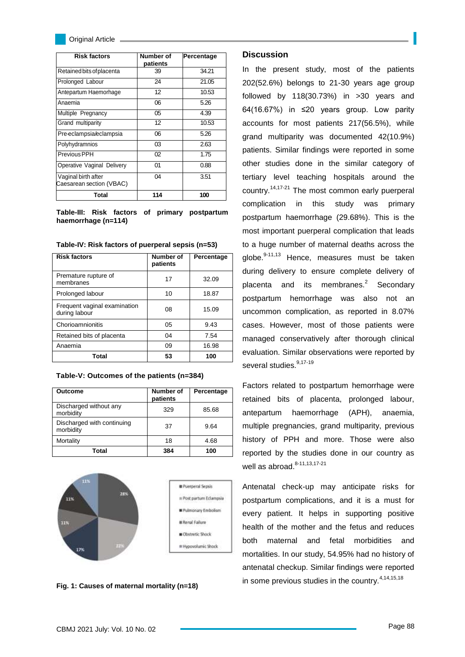| <b>Risk factors</b>                             | Number of<br>patients | Percentage |
|-------------------------------------------------|-----------------------|------------|
| Retained bits of placenta                       | 39                    | 34.21      |
| Prolonged Labour                                | 24                    | 21.05      |
| Antepartum Haemorhage                           | 12                    | 10.53      |
| Anaemia                                         | 06                    | 5.26       |
| Multiple Pregnancy                              | 05                    | 4.39       |
| Grand multiparity                               | 12                    | 10.53      |
| Pre-eclampsia/eclampsia                         | 06                    | 5.26       |
| Polyhydramnios                                  | 03                    | 2.63       |
| Previous PPH                                    | 02                    | 1.75       |
| Operative Vaginal Delivery                      | 01                    | 0.88       |
| Vaginal birth after<br>Caesarean section (VBAC) | 04                    | 3.51       |
| Total                                           | 114                   | 100        |

**Table-III: Risk factors of primary postpartum haemorrhage (n=114)**

| <b>Risk factors</b>                           | <b>Number of</b><br>patients | Percentage |
|-----------------------------------------------|------------------------------|------------|
| Premature rupture of<br>membranes             | 17                           | 32.09      |
| Prolonged labour                              | 10                           | 18.87      |
| Frequent vaginal examination<br>during labour | 08                           | 15.09      |
| Chorioamnionitis                              | 05                           | 9.43       |
| Retained bits of placenta                     | 04                           | 7.54       |
| Anaemia                                       | 09                           | 16.98      |
| Total                                         | 53                           | 100        |

**Table-IV: Risk factors of puerperal sepsis (n=53)**

| Outcome                                 | Number of<br>patients | Percentage |
|-----------------------------------------|-----------------------|------------|
| Discharged without any<br>morbidity     | 329                   | 85.68      |
| Discharged with continuing<br>morbidity | 37                    | 9.64       |
| Mortality                               | 18                    | 4.68       |
| Total                                   | 384                   | 100        |

**Table-V: Outcomes of the patients (n=384)**



**Fig. 1: Causes of maternal mortality (n=18)**

## **Discussion**

In the present study, most of the patients 202(52.6%) belongs to 21-30 years age group followed by 118(30.73%) in >30 years and 64(16.67%) in ≤20 years group. Low parity accounts for most patients 217(56.5%), while grand multiparity was documented 42(10.9%) patients. Similar findings were reported in some other studies done in the similar category of tertiary level teaching hospitals around the country.14,17-21 The most common early puerperal complication in this study was primary postpartum haemorrhage (29.68%). This is the most important puerperal complication that leads to a huge number of maternal deaths across the globe. $9-11,13$  Hence, measures must be taken during delivery to ensure complete delivery of placenta and its membranes.<sup>2</sup> Secondary postpartum hemorrhage was also not an uncommon complication, as reported in 8.07% cases. However, most of those patients were managed conservatively after thorough clinical evaluation. Similar observations were reported by several studies.<sup>9,17-19</sup>

Factors related to postpartum hemorrhage were retained bits of placenta, prolonged labour, antepartum haemorrhage (APH), anaemia, multiple pregnancies, grand multiparity, previous history of PPH and more. Those were also reported by the studies done in our country as well as abroad. $8-11,13,17-21$ 

Antenatal check-up may anticipate risks for postpartum complications, and it is a must for every patient. It helps in supporting positive health of the mother and the fetus and reduces both maternal and fetal morbidities and mortalities. In our study, 54.95% had no history of antenatal checkup. Similar findings were reported in some previous studies in the country.<sup>4,14,15,18</sup>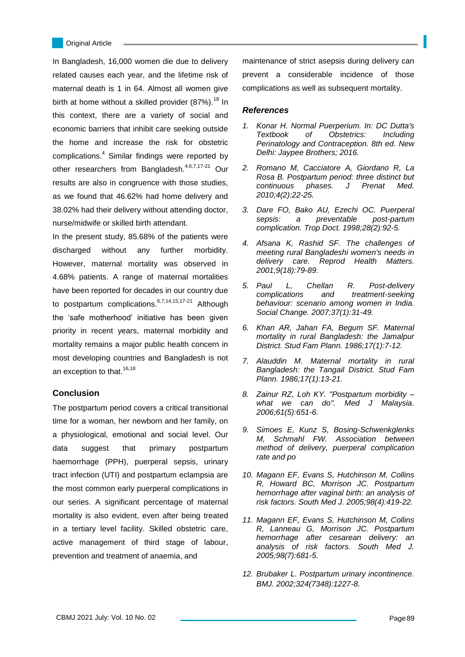L

In Bangladesh, 16,000 women die due to delivery related causes each year, and the lifetime risk of maternal death is 1 in 64. Almost all women give birth at home without a skilled provider  $(87%)$ .<sup>18</sup> In this context, there are a variety of social and economic barriers that inhibit care seeking outside the home and increase the risk for obstetric complications.<sup>4</sup> Similar findings were reported by other researchers from Bangladesh.<sup>4,6,7,17-21</sup> Our results are also in congruence with those studies, as we found that 46.62% had home delivery and 38.02% had their delivery without attending doctor, nurse/midwife or skilled birth attendant.

In the present study, 85.68% of the patients were discharged without any further morbidity. However, maternal mortality was observed in 4.68% patients. A range of maternal mortalities have been reported for decades in our country due to postpartum complications.<sup>6,7,14,15,17-21</sup> Although the 'safe motherhood' initiative has been given priority in recent years, maternal morbidity and mortality remains a major public health concern in most developing countries and Bangladesh is not an exception to that.  $16,18$ 

## **Conclusion**

The postpartum period covers a critical transitional time for a woman, her newborn and her family, on a physiological, emotional and social level. Our data suggest that primary postpartum haemorrhage (PPH), puerperal sepsis, urinary tract infection (UTI) and postpartum eclampsia are the most common early puerperal complications in our series. A significant percentage of maternal mortality is also evident, even after being treated in a tertiary level facility. Skilled obstetric care, active management of third stage of labour, prevention and treatment of anaemia, and

maintenance of strict asepsis during delivery can prevent a considerable incidence of those complications as well as subsequent mortality.

#### *References*

- *1. Konar H. Normal Puerperium. In: DC Dutta's Textbook of Obstetrics: Including Perinatology and Contraception. 8th ed. New Delhi: Jaypee Brothers; 2016.*
- *2. Romano M, Cacciatore A, Giordano R, La Rosa B. Postpartum period: three distinct but continuous phases. J Prenat Med. 2010;4(2):22-25.*
- *3. Dare FO, Bako AU, Ezechi OC. Puerperal sepsis: a preventable post-partum complication. Trop Doct. 1998;28(2):92-5.*
- *4. Afsana K, Rashid SF. The challenges of meeting rural Bangladeshi women's needs in delivery care. Reprod Health Matters. 2001;9(18):79-89.*
- *5. Paul L, Chellan R. Post-delivery complications and treatment-seeking behaviour: scenario among women in India. Social Change. 2007;37(1):31-49.*
- *6. Khan AR, Jahan FA, Begum SF. Maternal mortality in rural Bangladesh: the Jamalpur District. Stud Fam Plann. 1986;17(1):7-12.*
- *7. Alauddin M. Maternal mortality in rural Bangladesh: the Tangail District. Stud Fam Plann. 1986;17(1):13-21.*
- *8. Zainur RZ, Loh KY. "Postpartum morbidity – what we can do". Med J Malaysia. 2006;61(5):651-6.*
- *9. Simoes E, Kunz S, Bosing-Schwenkglenks M, Schmahl FW. Association between method of delivery, puerperal complication rate and po*
- *10. Magann EF, Evans S, Hutchinson M, Collins R, Howard BC, Morrison JC. Postpartum hemorrhage after vaginal birth: an analysis of risk factors. South Med J. 2005;98(4):419-22.*
- *11. Magann EF, Evans S, Hutchinson M, Collins R, Lanneau G, Morrison JC. Postpartum hemorrhage after cesarean delivery: an analysis of risk factors. South Med J. 2005;98(7):681-5.*
- *12. Brubaker L. Postpartum urinary incontinence. BMJ. 2002;324(7348):1227-8.*